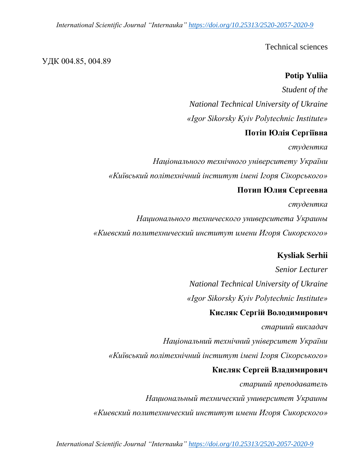Technical sciences

УДК 004.85, 004.89

## **Potip Yuliia**

*Student of the National Technical University of Ukraine «Igor Sikorsky Kyiv Polytechnic Institute»*

# **Потіп Юлія Сергіївна**

*студентка Національного технічного університету України «Київський політехнічний інститут імені Ігоря Сікорського»*

## **Потип Юлия Сергеевна**

*студентка Национального технического университета Украины «Киевский политехнический институт имени Игоря Сикорского»*

# **Kysliak Serhii**

*Senior Lecturer National Technical University of Ukraine «Igor Sikorsky Kyiv Polytechnic Institute»*

# **Кисляк Сергій Володимирович**

*старший викладач*

*Національний технічний університет України* 

*«Київський політехнічний інститут імені Ігоря Сікорського»*

# **Кисляк Сергей Владимирович**

*старший преподаватель Национальный технический университет Украины «Киевский политехнический институт имени Игоря Сикорского»*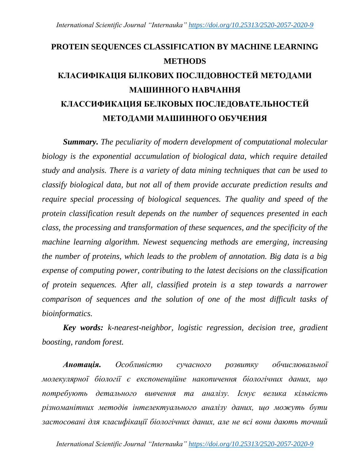# **PROTEIN SEQUENCES CLASSIFICATION BY MACHINE LEARNING METHODS КЛАСИФІКАЦІЯ БІЛКОВИХ ПОСЛІДОВНОСТЕЙ МЕТОДАМИ МАШИННОГО НАВЧАННЯ КЛАССИФИКАЦИЯ БЕЛКОВЫХ ПОСЛЕДОВАТЕЛЬНОСТЕЙ МЕТОДАМИ МАШИННОГО ОБУЧЕНИЯ**

*Summary. The peculiarity of modern development of computational molecular biology is the exponential accumulation of biological data, which require detailed study and analysis. There is a variety of data mining techniques that can be used to classify biological data, but not all of them provide accurate prediction results and require special processing of biological sequences. The quality and speed of the protein classification result depends on the number of sequences presented in each class, the processing and transformation of these sequences, and the specificity of the machine learning algorithm. Newest sequencing methods are emerging, increasing the number of proteins, which leads to the problem of annotation. Big data is a big expense of computing power, contributing to the latest decisions on the classification of protein sequences. After all, classified protein is a step towards a narrower comparison of sequences and the solution of one of the most difficult tasks of bioinformatics.*

*Key words: k-nearest-neighbor, logistic regression, decision tree, gradient boosting, random forest.*

*Анотація. Особливістю сучасного розвитку обчислювальної молекулярної біології є експоненційне накопичення біологічних даних, що потребують детального вивчення та аналізу. Існує велика кількість різноманітних методів інтелектуального аналізу даних, що можуть бути застосовані для класифікації біологічних даних, але не всі вони дають точний*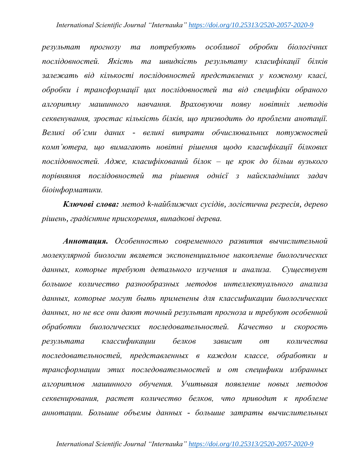*результат прогнозу та потребують особливої обробки біологічних послідовностей. Якість та швидкість результату класифікації білків залежать від кількості послідовностей представлених у кожному класі, обробки і трансформації цих послідовностей та від специфіки обраного алгоритму машинного навчання. Враховуючи появу новітніх методів секвенування, зростає кількість білків, що призводить до проблеми анотації. Великі об'єми даних - великі витрати обчислювальних потужностей комп'ютера, що вимагають новітні рішення щодо класифікації білкових послідовностей. Адже, класифікований білок – це крок до більш вузького порівняння послідовностей та рішення однієї з найскладніших задач біоінформатики.* 

*Ключові слова: метод k-найближчих сусідів, логістична регресія, дерево рішень, градієнтне прискорення, випадкові дерева.*

*Аннотация. Особенностью современного развития вычислительной молекулярной биологии является экспоненциальное накопление биологических данных, которые требуют детального изучения и анализа. Существует большое количество разнообразных методов интеллектуального анализа данных, которые могут быть применены для классификации биологических данных, но не все они дают точный результат прогноза и требуют особенной обработки биологических последовательностей. Качество и скорость результата классификации белков зависит от количества последовательностей, представленных в каждом классе, обработки и трансформации этих последовательностей и от специфики избранных алгоритмов машинного обучения. Учитывая появление новых методов секвенирования, растет количество белков, что приводит к проблеме аннотации. Большие объемы данных - большие затраты вычислительных*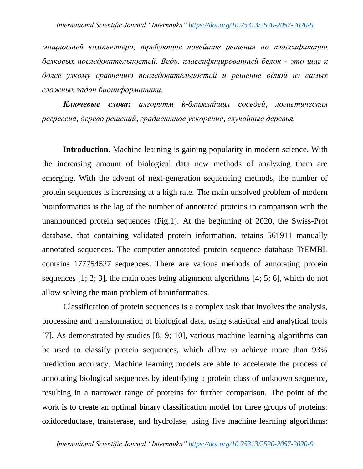*мощностей компьютера, требующие новейшие решения по классификации белковых последовательностей. Ведь, классифицированный белок - это шаг к более узкому сравнению последовательностей и решение одной из самых сложных задач биоинформатики.*

*Ключевые слова: алгоритм k-ближайших соседей, логистическая регрессия, дерево решений, градиентное ускорение, случайные деревья.*

**Introduction.** Machine learning is gaining popularity in modern science. With the increasing amount of biological data new methods of analyzing them are emerging. With the advent of next-generation sequencing methods, the number of protein sequences is increasing at a high rate. The main unsolved problem of modern bioinformatics is the lag of the number of annotated proteins in comparison with the unannounced protein sequences (Fig.1). At the beginning of 2020, the Swiss-Prot database, that containing validated protein information, retains 561911 manually annotated sequences. The computer-annotated protein sequence database TrEMBL contains 177754527 sequences. There are various methods of annotating protein sequences [1; 2; 3], the main ones being alignment algorithms [4; 5; 6], which do not allow solving the main problem of bioinformatics.

Classification of protein sequences is a complex task that involves the analysis, processing and transformation of biological data, using statistical and analytical tools [7]. As demonstrated by studies [8; 9; 10], various machine learning algorithms can be used to classify protein sequences, which allow to achieve more than 93% prediction accuracy. Machine learning models are able to accelerate the process of annotating biological sequences by identifying a protein class of unknown sequence, resulting in a narrower range of proteins for further comparison. The point of the work is to create an optimal binary classification model for three groups of proteins: oxidoreductase, transferase, and hydrolase, using five machine learning algorithms: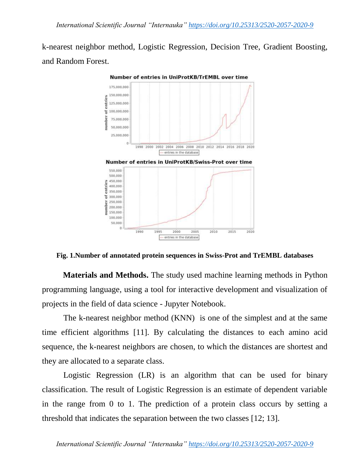k-nearest neighbor method, Logistic Regression, Decision Tree, Gradient Boosting, and Random Forest.



**Fig. 1.Number of annotated protein sequences in Swiss-Prot and TrEMBL databases**

**Materials and Methods.** The study used machine learning methods in Python programming language, using a tool for interactive development and visualization of projects in the field of data science - Jupyter Notebook.

The k-nearest neighbor method (KNN) is one of the simplest and at the same time efficient algorithms [11]. By calculating the distances to each amino acid sequence, the k-nearest neighbors are chosen, to which the distances are shortest and they are allocated to a separate class.

Logistic Regression (LR) is an algorithm that can be used for binary classification. The result of Logistic Regression is an estimate of dependent variable in the range from 0 to 1. The prediction of a protein class occurs by setting a threshold that indicates the separation between the two classes [12; 13].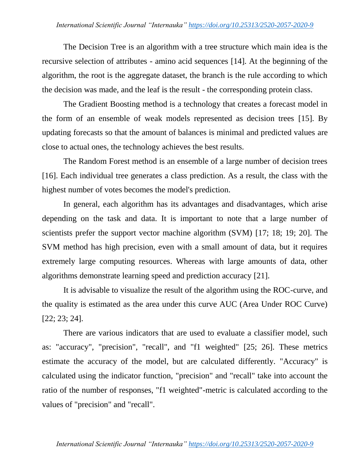The Decision Tree is an algorithm with a tree structure which main idea is the recursive selection of attributes - amino acid sequences [14]. At the beginning of the algorithm, the root is the aggregate dataset, the branch is the rule according to which the decision was made, and the leaf is the result - the corresponding protein class.

The Gradient Boosting method is a technology that creates a forecast model in the form of an ensemble of weak models represented as decision trees [15]. By updating forecasts so that the amount of balances is minimal and predicted values are close to actual ones, the technology achieves the best results.

The Random Forest method is an ensemble of a large number of decision trees [16]. Each individual tree generates a class prediction. As a result, the class with the highest number of votes becomes the model's prediction.

In general, each algorithm has its advantages and disadvantages, which arise depending on the task and data. It is important to note that a large number of scientists prefer the support vector machine algorithm (SVM) [17; 18; 19; 20]. The SVM method has high precision, even with a small amount of data, but it requires extremely large computing resources. Whereas with large amounts of data, other algorithms demonstrate learning speed and prediction accuracy [21].

It is advisable to visualize the result of the algorithm using the ROC-curve, and the quality is estimated as the area under this curve AUC (Area Under ROC Curve) [22; 23; 24].

There are various indicators that are used to evaluate a classifier model, such as: "accuracy", "precision", "recall", and "f1 weighted" [25; 26]. These metrics estimate the accuracy of the model, but are calculated differently. "Accuracy" is calculated using the indicator function, "precision" and "recall" take into account the ratio of the number of responses, "f1 weighted"-metric is calculated according to the values of "precision" and "recall".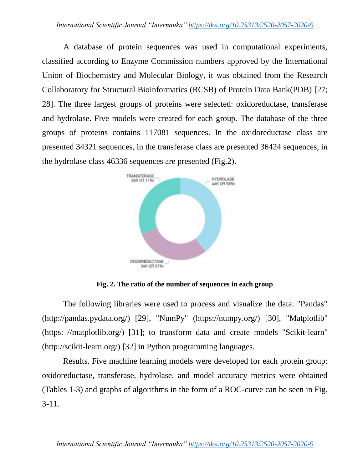A database of protein sequences was used in computational experiments, classified according to Enzyme Commission numbers approved by the International Union of Biochemistry and Molecular Biology, it was obtained from the Research Collaboratory for Structural Bioinformatics (RCSB) of Protein Data Bank(PDB) [27; 28]. The three largest groups of proteins were selected: oxidoreductase, transferase and hydrolase. Five models were created for each group. The database of the three groups of proteins contains 117081 sequences. In the oxidoreductase class are presented 34321 sequences, in the transferase class are presented 36424 sequences, in the hydrolase class 46336 sequences are presented (Fig.2).



**Fig. 2. The ratio of the number of sequences in each group**

The following libraries were used to process and visualize the data: "Pandas" (http://pandas.pydata.org/) [29], "NumPy" (https://numpy.org/) [30], "Matplotlib" (https: //matplotlib.org/) [31]; to transform data and create models "Scikit-learn" (http://scikit-learn.org/) [32] in Python programming languages.

Results. Five machine learning models were developed for each protein group: oxidoreductase, transferase, hydrolase, and model accuracy metrics were obtained (Tables 1-3) and graphs of algorithms in the form of a ROC-curve can be seen in Fig. 3-11.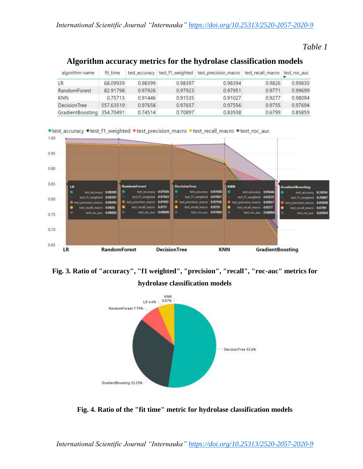*Table 1*

| algorithm name             | fit time  |         |         | test accuracy test f1 weighted test precision macro test recall macro test roc auc |        |         |
|----------------------------|-----------|---------|---------|------------------------------------------------------------------------------------|--------|---------|
| LR.                        | 68.09939  | 0.98399 | 0.98397 | 0.98394                                                                            | 0.9826 | 0.99830 |
| RandomForest               | 82.91798  | 0.97926 | 0.97923 | 0.97951                                                                            | 0.9771 | 0.99699 |
| <b>KNN</b>                 | 0.75713   | 0.91446 | 0.91535 | 0.91027                                                                            | 0.9277 | 0.98094 |
| <b>DecisionTree</b>        | 557.63519 | 0.97658 | 0.97657 | 0.97556                                                                            | 0.9755 | 0.97694 |
| GradientBoosting 354,70491 |           | 0.74514 | 0.70897 | 0.83938                                                                            | 0.6799 | 0.85859 |

## **Algorithm accuracy metrics for the hydrolase classification models**



. Lest accuracy .test f1 weighted .test precision macro .test recall macro .test roc auc

**Fig. 3. Ratio of "accuracy", "f1 weighted", "precision", "recall", "roc-auc" metrics for hydrolase classification models**



**Fig. 4. Ratio of the "fit time" metric for hydrolase classification models**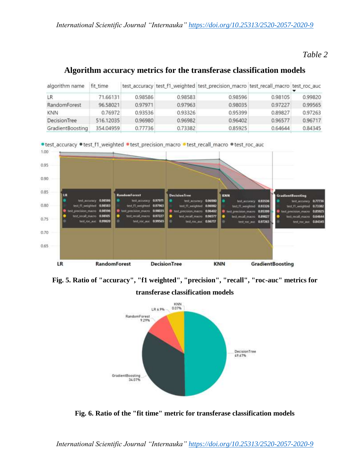*Table 2*

## **Algorithm accuracy metrics for the transferase classification models**

| algorithm name   | fit time  |         |         | test_accuracy_test_f1_weighted_test_precision_macro_test_recall_macro_test_roc_auc |         |         |
|------------------|-----------|---------|---------|------------------------------------------------------------------------------------|---------|---------|
| LR               | 71.66131  | 0.98586 | 0.98583 | 0.98596                                                                            | 0.98105 | 0.99820 |
| RandomForest     | 96.58021  | 0.97971 | 0.97963 | 0.98035                                                                            | 0.97227 | 0.99565 |
| <b>KNN</b>       | 0.76972   | 0.93536 | 0.93326 | 0.95399                                                                            | 0.89827 | 0.97263 |
| DecisionTree     | 516.12035 | 0.96980 | 0.96982 | 0.96402                                                                            | 0.96577 | 0.96717 |
| GradientBoosting | 354.04959 | 0.77736 | 0.73382 | 0.85925                                                                            | 0.64644 | 0.84345 |



**Fig. 5. Ratio of "accuracy", "f1 weighted", "precision", "recall", "roc-auc" metrics for** 

#### **transferase classification models**



**Fig. 6. Ratio of the "fit time" metric for transferase classification models**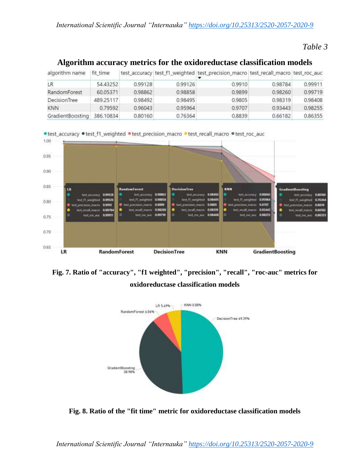*Table 3*

# **Algorithm accuracy metrics for the oxidoreductase classification models**

| algorithm name   | fit time  |         |         | test_accuracy_test_f1_weighted_test_precision_macro_test_recall_macro_test_roc_auc |         |         |
|------------------|-----------|---------|---------|------------------------------------------------------------------------------------|---------|---------|
| LR               | 54,43252  | 0.99128 | 0.99126 | 0.9910                                                                             | 0.98784 | 0.99911 |
| RandomForest     | 60.05371  | 0.98862 | 0.98858 | 0.9899                                                                             | 0.98260 | 0.99719 |
| DecisionTree     | 489.25117 | 0.98492 | 0.98495 | 0.9805                                                                             | 0.98319 | 0.98408 |
| <b>KNN</b>       | 0.79592   | 0.96043 | 0.95964 | 0.9707                                                                             | 0.93443 | 0.98255 |
| GradientBoosting | 386,10834 | 0.80160 | 0.76364 | 0.8839                                                                             | 0.66182 | 0.86355 |



**Fig. 7. Ratio of "accuracy", "f1 weighted", "precision", "recall", "roc-auc" metrics for oxidoreductase classification models**



**Fig. 8. Ratio of the "fit time" metric for oxidoreductase classification models**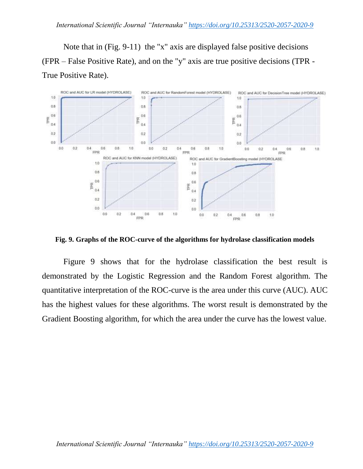Note that in (Fig. 9-11) the "x" axis are displayed false positive decisions (FPR – False Positive Rate), and on the "y" axis are true positive decisions (TPR - True Positive Rate).



**Fig. 9. Graphs of the ROC-curve of the algorithms for hydrolase classification models**

Figure 9 shows that for the hydrolase classification the best result is demonstrated by the Logistic Regression and the Random Forest algorithm. The quantitative interpretation of the ROC-curve is the area under this curve (AUC). AUC has the highest values for these algorithms. The worst result is demonstrated by the Gradient Boosting algorithm, for which the area under the curve has the lowest value.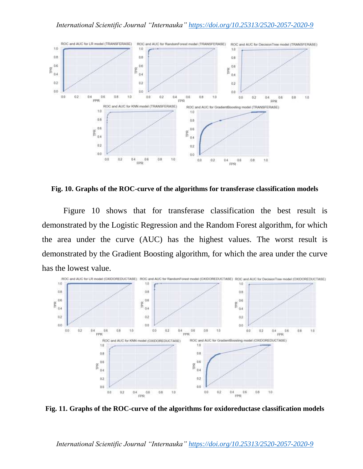

**Fig. 10. Graphs of the ROC-curve of the algorithms for transferase classification models**

Figure 10 shows that for transferase classification the best result is demonstrated by the Logistic Regression and the Random Forest algorithm, for which the area under the curve (AUC) has the highest values. The worst result is demonstrated by the Gradient Boosting algorithm, for which the area under the curve has the lowest value.



**Fig. 11. Graphs of the ROC-curve of the algorithms for oxidoreductase classification models**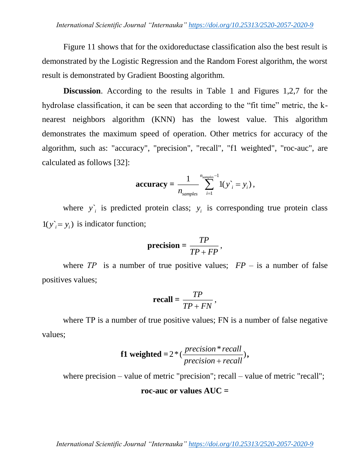Figure 11 shows that for the oxidoreductase classification also the best result is demonstrated by the Logistic Regression and the Random Forest algorithm, the worst result is demonstrated by Gradient Boosting algorithm.

**Discussion.** According to the results in Table 1 and Figures 1,2,7 for the hydrolase classification, it can be seen that according to the "fit time" metric, the knearest neighbors algorithm (KNN) has the lowest value. This algorithm demonstrates the maximum speed of operation. Other metrics for accuracy of the algorithm, such as: "accuracy", "precision", "recall", "f1 weighted", "roc-auc", are calculated as follows [32]:

$$
\text{accuracy} = \frac{1}{n_{samples}} \sum_{i=1}^{n_{samples}} 1(y_i^* = y_i),
$$

where  $y^{\prime}$  $y_i$  is predicted protein class;  $y_i$  is corresponding true protein class  $1(y_i^* = y_i)$  is indicator function;

$$
precision = \frac{TP}{TP + FP},
$$

where  $TP$  is a number of true positive values;  $FP -$  is a number of false positives values;

$$
\textbf{recall} = \frac{TP}{TP + FN},
$$

where TP is a number of true positive values; FN is a number of false negative values;

$$
f1 weighted = 2 * (\frac{precision * recall}{precision + recall}),
$$

where precision – value of metric "precision"; recall – value of metric "recall";

## **roc-auc or values AUC =**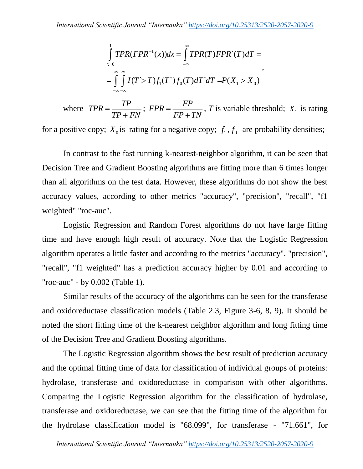$$
\int_{x=0}^{1} TPR(FPR^{-1}(x))dx = \int_{+\infty}^{-\infty} TPR(T)FPR^{(T)}(T)dT =
$$
\n
$$
= \int_{-\infty}^{\infty} \int_{-\infty}^{\infty} I(T>T)f_1(T^{(T)})f_0(T)dT^{(T)}dT = P(X_1 > X_0)
$$

where  $TPR = \frac{TP}{TP}$ *TP FN TPR*  $\hspace{.01in} +$  $FPR = \frac{FP}{TP}$ *FP TN FPR*  $\hspace{.01in} +$ ,  $T$  is variable threshold;  $X_1$  is rating

for a positive copy;  $X_0$  is rating for a negative copy;  $f_1, f_0$  are probability densities;

In contrast to the fast running k-nearest-neighbor algorithm, it can be seen that Decision Tree and Gradient Boosting algorithms are fitting more than 6 times longer than all algorithms on the test data. However, these algorithms do not show the best accuracy values, according to other metrics "accuracy", "precision", "recall", "f1 weighted" "roc-auc".

Logistic Regression and Random Forest algorithms do not have large fitting time and have enough high result of accuracy. Note that the Logistic Regression algorithm operates a little faster and according to the metrics "accuracy", "precision", "recall", "f1 weighted" has a prediction accuracy higher by 0.01 and according to "roc-auc" - by 0.002 (Table 1).

Similar results of the accuracy of the algorithms can be seen for the transferase and oxidoreductase classification models (Table 2.3, Figure 3-6, 8, 9). It should be noted the short fitting time of the k-nearest neighbor algorithm and long fitting time of the Decision Tree and Gradient Boosting algorithms.

The Logistic Regression algorithm shows the best result of prediction accuracy and the optimal fitting time of data for classification of individual groups of proteins: hydrolase, transferase and oxidoreductase in comparison with other algorithms. Comparing the Logistic Regression algorithm for the classification of hydrolase, transferase and oxidoreductase, we can see that the fitting time of the algorithm for the hydrolase classification model is "68.099", for transferase - "71.661", for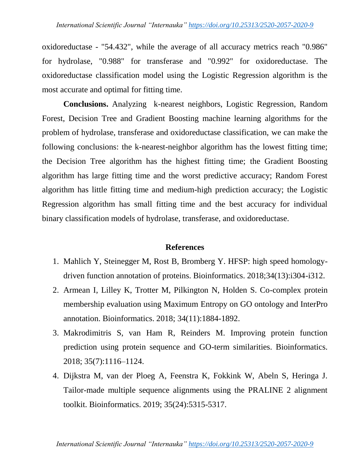oxidoreductase - "54.432", while the average of all accuracy metrics reach "0.986" for hydrolase, "0.988" for transferase and "0.992" for oxidoreductase. The oxidoreductase classification model using the Logistic Regression algorithm is the most accurate and optimal for fitting time.

**Conclusions.** Analyzing k-nearest neighbors, Logistic Regression, Random Forest, Decision Tree and Gradient Boosting machine learning algorithms for the problem of hydrolase, transferase and oxidoreductase classification, we can make the following conclusions: the k-nearest-neighbor algorithm has the lowest fitting time; the Decision Tree algorithm has the highest fitting time; the Gradient Boosting algorithm has large fitting time and the worst predictive accuracy; Random Forest algorithm has little fitting time and medium-high prediction accuracy; the Logistic Regression algorithm has small fitting time and the best accuracy for individual binary classification models of hydrolase, transferase, and oxidoreductase.

## **References**

- 1. Mahlich Y, Steinegger M, Rost B, Bromberg Y. HFSP: high speed homologydriven function annotation of proteins. Bioinformatics. 2018;34(13):i304-i312.
- 2. Armean I, Lilley K, Trotter M, Pilkington N, Holden S. Co-complex protein membership evaluation using Maximum Entropy on GO ontology and InterPro annotation. Bioinformatics. 2018; 34(11):1884-1892.
- 3. Makrodimitris S, van Ham R, Reinders M. Improving protein function prediction using protein sequence and GO-term similarities. Bioinformatics. 2018; 35(7):1116–1124.
- 4. Dijkstra M, van der Ploeg A, Feenstra K, Fokkink W, Abeln S, Heringa J. Tailor-made multiple sequence alignments using the PRALINE 2 alignment toolkit. Bioinformatics. 2019; 35(24):5315-5317.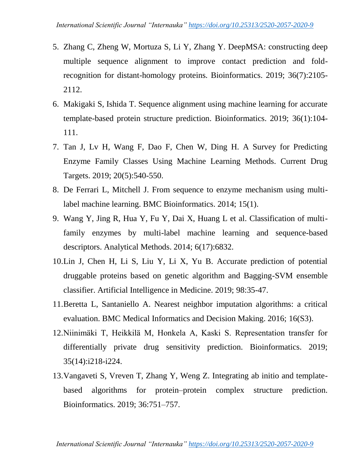- 5. Zhang C, Zheng W, Mortuza S, Li Y, Zhang Y. DeepMSA: constructing deep multiple sequence alignment to improve contact prediction and foldrecognition for distant-homology proteins. Bioinformatics. 2019; 36(7):2105- 2112.
- 6. Makigaki S, Ishida T. Sequence alignment using machine learning for accurate template-based protein structure prediction. Bioinformatics. 2019; 36(1):104- 111.
- 7. Tan J, Lv H, Wang F, Dao F, Chen W, Ding H. A Survey for Predicting Enzyme Family Classes Using Machine Learning Methods. Current Drug Targets. 2019; 20(5):540-550.
- 8. De Ferrari L, Mitchell J. From sequence to enzyme mechanism using multilabel machine learning. BMC Bioinformatics. 2014; 15(1).
- 9. Wang Y, Jing R, Hua Y, Fu Y, Dai X, Huang L et al. Classification of multifamily enzymes by multi-label machine learning and sequence-based descriptors. Analytical Methods. 2014; 6(17):6832.
- 10.Lin J, Chen H, Li S, Liu Y, Li X, Yu B. Accurate prediction of potential druggable proteins based on genetic algorithm and Bagging-SVM ensemble classifier. Artificial Intelligence in Medicine. 2019; 98:35-47.
- 11.Beretta L, Santaniello A. Nearest neighbor imputation algorithms: a critical evaluation. BMC Medical Informatics and Decision Making. 2016; 16(S3).
- 12.Niinimäki T, Heikkilä M, Honkela A, Kaski S. Representation transfer for differentially private drug sensitivity prediction. Bioinformatics. 2019; 35(14):i218-i224.
- 13.Vangaveti S, Vreven T, Zhang Y, Weng Z. Integrating ab initio and templatebased algorithms for protein–protein complex structure prediction. Bioinformatics. 2019; 36:751–757.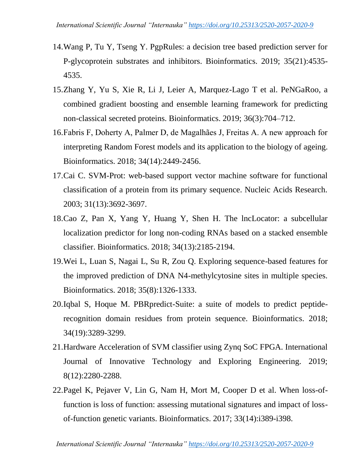- 14.Wang P, Tu Y, Tseng Y. PgpRules: a decision tree based prediction server for P-glycoprotein substrates and inhibitors. Bioinformatics. 2019; 35(21):4535- 4535.
- 15.Zhang Y, Yu S, Xie R, Li J, Leier A, Marquez-Lago T et al. PeNGaRoo, a combined gradient boosting and ensemble learning framework for predicting non-classical secreted proteins. Bioinformatics. 2019; 36(3):704–712.
- 16.Fabris F, Doherty A, Palmer D, de Magalhães J, Freitas A. A new approach for interpreting Random Forest models and its application to the biology of ageing. Bioinformatics. 2018; 34(14):2449-2456.
- 17.Cai C. SVM-Prot: web-based support vector machine software for functional classification of a protein from its primary sequence. Nucleic Acids Research. 2003; 31(13):3692-3697.
- 18.Cao Z, Pan X, Yang Y, Huang Y, Shen H. The lncLocator: a subcellular localization predictor for long non-coding RNAs based on a stacked ensemble classifier. Bioinformatics. 2018; 34(13):2185-2194.
- 19.Wei L, Luan S, Nagai L, Su R, Zou Q. Exploring sequence-based features for the improved prediction of DNA N4-methylcytosine sites in multiple species. Bioinformatics. 2018; 35(8):1326-1333.
- 20.Iqbal S, Hoque M. PBRpredict-Suite: a suite of models to predict peptiderecognition domain residues from protein sequence. Bioinformatics. 2018; 34(19):3289-3299.
- 21.Hardware Acceleration of SVM classifier using Zynq SoC FPGA. International Journal of Innovative Technology and Exploring Engineering. 2019; 8(12):2280-2288.
- 22.Pagel K, Pejaver V, Lin G, Nam H, Mort M, Cooper D et al. When loss-offunction is loss of function: assessing mutational signatures and impact of lossof-function genetic variants. Bioinformatics. 2017; 33(14):i389-i398.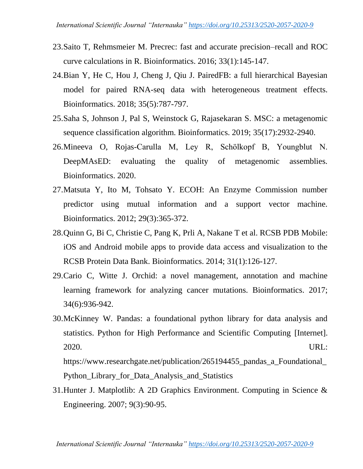- 23.Saito T, Rehmsmeier M. Precrec: fast and accurate precision–recall and ROC curve calculations in R. Bioinformatics. 2016; 33(1):145-147.
- 24.Bian Y, He C, Hou J, Cheng J, Qiu J. PairedFB: a full hierarchical Bayesian model for paired RNA-seq data with heterogeneous treatment effects. Bioinformatics. 2018; 35(5):787-797.
- 25.Saha S, Johnson J, Pal S, Weinstock G, Rajasekaran S. MSC: a metagenomic sequence classification algorithm. Bioinformatics. 2019; 35(17):2932-2940.
- 26.Mineeva O, Rojas-Carulla M, Ley R, Schölkopf B, Youngblut N. DeepMAsED: evaluating the quality of metagenomic assemblies. Bioinformatics. 2020.
- 27.Matsuta Y, Ito M, Tohsato Y. ECOH: An Enzyme Commission number predictor using mutual information and a support vector machine. Bioinformatics. 2012; 29(3):365-372.
- 28.Quinn G, Bi C, Christie C, Pang K, Prli A, Nakane T et al. RCSB PDB Mobile: iOS and Android mobile apps to provide data access and visualization to the RCSB Protein Data Bank. Bioinformatics. 2014; 31(1):126-127.
- 29.Cario C, Witte J. Orchid: a novel management, annotation and machine learning framework for analyzing cancer mutations. Bioinformatics. 2017; 34(6):936-942.
- 30.McKinney W. Pandas: a foundational python library for data analysis and statistics. Python for High Performance and Scientific Computing [Internet]. 2020. URL:

https://www.researchgate.net/publication/265194455 pandas a Foundational Python\_Library\_for\_Data\_Analysis\_and\_Statistics

31.Hunter J. Matplotlib: A 2D Graphics Environment. Computing in Science & Engineering. 2007; 9(3):90-95.